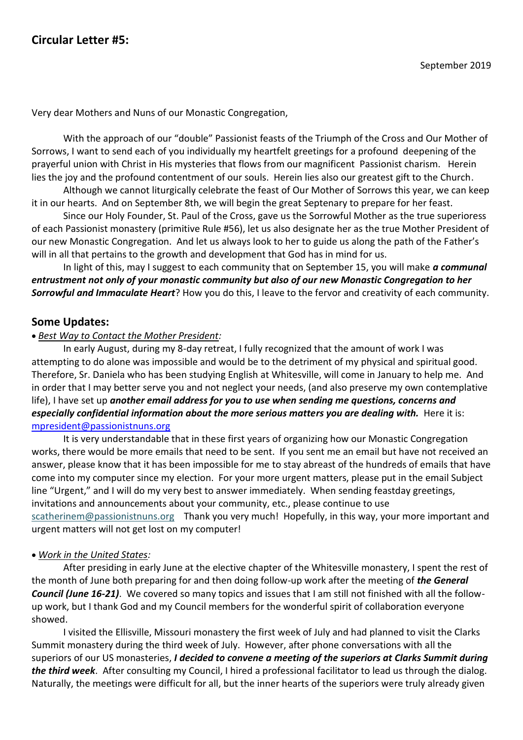Very dear Mothers and Nuns of our Monastic Congregation,

With the approach of our "double" Passionist feasts of the Triumph of the Cross and Our Mother of Sorrows, I want to send each of you individually my heartfelt greetings for a profound deepening of the prayerful union with Christ in His mysteries that flows from our magnificent Passionist charism. Herein lies the joy and the profound contentment of our souls. Herein lies also our greatest gift to the Church.

Although we cannot liturgically celebrate the feast of Our Mother of Sorrows this year, we can keep it in our hearts. And on September 8th, we will begin the great Septenary to prepare for her feast.

Since our Holy Founder, St. Paul of the Cross, gave us the Sorrowful Mother as the true superioress of each Passionist monastery (primitive Rule #56), let us also designate her as the true Mother President of our new Monastic Congregation. And let us always look to her to guide us along the path of the Father's will in all that pertains to the growth and development that God has in mind for us.

In light of this, may I suggest to each community that on September 15, you will make *a communal entrustment not only of your monastic community but also of our new Monastic Congregation to her Sorrowful and Immaculate Heart*? How you do this, I leave to the fervor and creativity of each community.

# **Some Updates:**

### • *Best Way to Contact the Mother President:*

In early August, during my 8-day retreat, I fully recognized that the amount of work I was attempting to do alone was impossible and would be to the detriment of my physical and spiritual good. Therefore, Sr. Daniela who has been studying English at Whitesville, will come in January to help me. And in order that I may better serve you and not neglect your needs, (and also preserve my own contemplative life), I have set up *another email address for you to use when sending me questions, concerns and especially confidential information about the more serious matters you are dealing with.* **Here it is:** [mpresident@passionistnuns.org](about:blank)

It is very understandable that in these first years of organizing how our Monastic Congregation works, there would be more emails that need to be sent. If you sent me an email but have not received an answer, please know that it has been impossible for me to stay abreast of the hundreds of emails that have come into my computer since my election. For your more urgent matters, please put in the email Subject line "Urgent," and I will do my very best to answer immediately. When sending feastday greetings, invitations and announcements about your community, etc., please continue to use [scatherinem@passionistnuns.org](about:blank) Thank you very much! Hopefully, in this way, your more important and urgent matters will not get lost on my computer!

### • *Work in the United States:*

After presiding in early June at the elective chapter of the Whitesville monastery, I spent the rest of the month of June both preparing for and then doing follow-up work after the meeting of *the General Council (June 16-21)*. We covered so many topics and issues that I am still not finished with all the followup work, but I thank God and my Council members for the wonderful spirit of collaboration everyone showed.

I visited the Ellisville, Missouri monastery the first week of July and had planned to visit the Clarks Summit monastery during the third week of July. However, after phone conversations with all the superiors of our US monasteries, *I decided to convene a meeting of the superiors at Clarks Summit during the third week*. After consulting my Council, I hired a professional facilitator to lead us through the dialog. Naturally, the meetings were difficult for all, but the inner hearts of the superiors were truly already given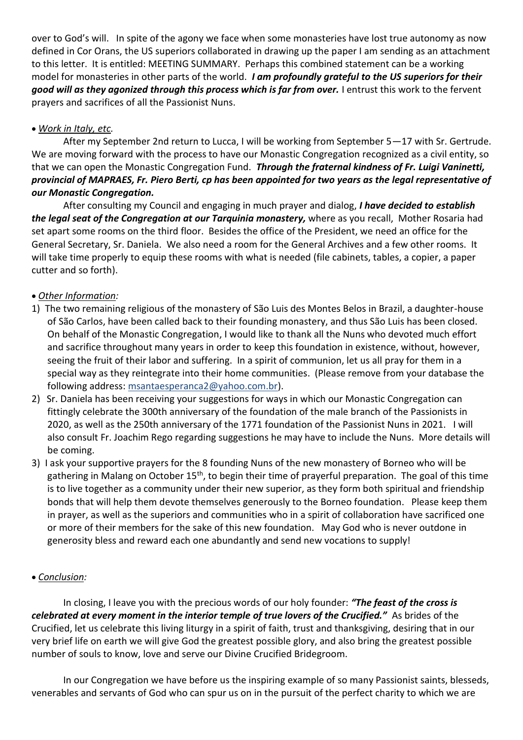over to God's will. In spite of the agony we face when some monasteries have lost true autonomy as now defined in Cor Orans, the US superiors collaborated in drawing up the paper I am sending as an attachment to this letter. It is entitled: MEETING SUMMARY. Perhaps this combined statement can be a working model for monasteries in other parts of the world. *I am profoundly grateful to the US superiors for their good will as they agonized through this process which is far from over.* I entrust this work to the fervent prayers and sacrifices of all the Passionist Nuns.

# • *Work in Italy, etc.*

After my September 2nd return to Lucca, I will be working from September 5—17 with Sr. Gertrude. We are moving forward with the process to have our Monastic Congregation recognized as a civil entity, so that we can open the Monastic Congregation Fund. *Through the fraternal kindness of Fr. Luigi Vaninetti, provincial of MAPRAES, Fr. Piero Berti, cp has been appointed for two years as the legal representative of our Monastic Congregation.*

After consulting my Council and engaging in much prayer and dialog, *I have decided to establish the legal seat of the Congregation at our Tarquinia monastery,* where as you recall, Mother Rosaria had set apart some rooms on the third floor. Besides the office of the President, we need an office for the General Secretary, Sr. Daniela. We also need a room for the General Archives and a few other rooms. It will take time properly to equip these rooms with what is needed (file cabinets, tables, a copier, a paper cutter and so forth).

# • *Other Information:*

- 1) The two remaining religious of the monastery of São Luis des Montes Belos in Brazil, a daughter-house of São Carlos, have been called back to their founding monastery, and thus São Luis has been closed. On behalf of the Monastic Congregation, I would like to thank all the Nuns who devoted much effort and sacrifice throughout many years in order to keep this foundation in existence, without, however, seeing the fruit of their labor and suffering. In a spirit of communion, let us all pray for them in a special way as they reintegrate into their home communities. (Please remove from your database the following address: msantaesperanca2@yahoo.com.br).
- 2) Sr. Daniela has been receiving your suggestions for ways in which our Monastic Congregation can fittingly celebrate the 300th anniversary of the foundation of the male branch of the Passionists in 2020, as well as the 250th anniversary of the 1771 foundation of the Passionist Nuns in 2021. I will also consult Fr. Joachim Rego regarding suggestions he may have to include the Nuns. More details will be coming.
- 3) I ask your supportive prayers for the 8 founding Nuns of the new monastery of Borneo who will be gathering in Malang on October 15<sup>th</sup>, to begin their time of prayerful preparation. The goal of this time is to live together as a community under their new superior, as they form both spiritual and friendship bonds that will help them devote themselves generously to the Borneo foundation. Please keep them in prayer, as well as the superiors and communities who in a spirit of collaboration have sacrificed one or more of their members for the sake of this new foundation. May God who is never outdone in generosity bless and reward each one abundantly and send new vocations to supply!

### • *Conclusion:*

In closing, I leave you with the precious words of our holy founder: *"The feast of the cross is celebrated at every moment in the interior temple of true lovers of the Crucified."* As brides of the Crucified, let us celebrate this living liturgy in a spirit of faith, trust and thanksgiving, desiring that in our very brief life on earth we will give God the greatest possible glory, and also bring the greatest possible number of souls to know, love and serve our Divine Crucified Bridegroom.

In our Congregation we have before us the inspiring example of so many Passionist saints, blesseds, venerables and servants of God who can spur us on in the pursuit of the perfect charity to which we are